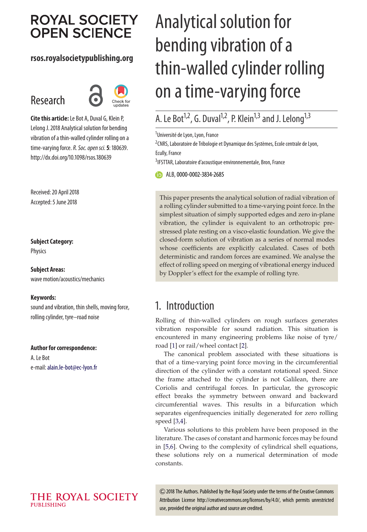# **ROYAL SOCIETY OPEN SCIENCE**

#### **rsos.royalsocietypublishing.org**

# Research



**Cite this article:**Le Bot A, Duval G, Klein P, Lelong J. 2018 Analytical solution for bending vibration of a thin-walled cylinder rolling on a time-varying force. R. Soc. open sci. 5: 180639. http://dx.doi.org/10.1098/rsos.180639

Received: 20 April 2018 Accepted: 5 June 2018

#### **Subject Category:**

Physics

#### **Subject Areas:**

wave motion/acoustics/mechanics

#### **Keywords:**

sound and vibration, thin shells, moving force, rolling cylinder, tyre–road noise

#### **Author for correspondence:**

A. Le Bot e-mail:[alain.le-bot@ec-lyon.fr](mailto:alain.le-bot@ec-lyon.fr)

# Analytical solution for bending vibration of a thin-walled cylinder rolling on a time-varying force

# A. Le Bot<sup>1,2</sup>, G. Duval<sup>1,2</sup>, P. Klein<sup>1,3</sup> and J. Lelong<sup>1,3</sup>

<sup>1</sup>Université de Lyon, Lyon, France

<sup>2</sup>CNRS, Laboratoire de Tribologie et Dynamique des Systèmes, Ecole centrale de Lyon, Ecully, France

<sup>3</sup> IFSTTAR, Laboratoire d'acoustique environnementale, Bron, France

ALB, [0000-0002-3834-2685](http://orcid.org/0000-0002-3834-2685)

This paper presents the analytical solution of radial vibration of a rolling cylinder submitted to a time-varying point force. In the simplest situation of simply supported edges and zero in-plane vibration, the cylinder is equivalent to an orthotropic prestressed plate resting on a visco-elastic foundation. We give the closed-form solution of vibration as a series of normal modes whose coefficients are explicitly calculated. Cases of both deterministic and random forces are examined. We analyse the effect of rolling speed on merging of vibrational energy induced by Doppler's effect for the example of rolling tyre.

## 1. Introduction

Rolling of thin-walled cylinders on rough surfaces generates vibration responsible for sound radiation. This situation is encountered in many engineering problems like noise of tyre/ road [\[1\]](#page-11-0) or rail/wheel contact [\[2\]](#page-11-1).

The canonical problem associated with these situations is that of a time-varying point force moving in the circumferential direction of the cylinder with a constant rotational speed. Since the frame attached to the cylinder is not Galilean, there are Coriolis and centrifugal forces. In particular, the gyroscopic effect breaks the symmetry between onward and backward circumferential waves. This results in a bifurcation which separates eigenfrequencies initially degenerated for zero rolling speed [\[3](#page-11-2)[,4\]](#page-11-3).

Various solutions to this problem have been proposed in the literature. The cases of constant and harmonic forces may be found in [\[5](#page-11-4)[,6\]](#page-11-5). Owing to the complexity of cylindrical shell equations, these solutions rely on a numerical determination of mode constants.

2018 The Authors. Published by the Royal Society under the terms of the Creative Commons Attribution License http://creativecommons.org/licenses/by/4.0/, which permits unrestricted use, provided the original author and source are credited.

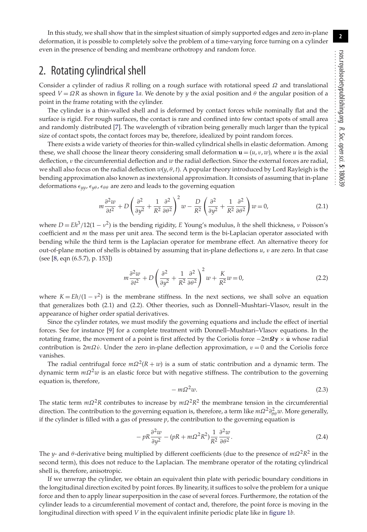In this study, we shall show that in the simplest situation of simply supported edges and zero in-plane deformation, it is possible to completely solve the problem of a time-varying force turning on a cylinder even in the presence of bending and membrane orthotropy and random force.

## 2. Rotating cylindrical shell

Consider a cylinder of radius *R* rolling on a rough surface with rotational speed Ω and translational speed  $V = \Omega R$  as shown in [figure 1](#page-2-0)*a*. We denote by *y* the axial position and  $\theta$  the angular position of a point in the frame rotating with the cylinder.

The cylinder is a thin-walled shell and is deformed by contact forces while nominally flat and the surface is rigid. For rough surfaces, the contact is rare and confined into few contact spots of small area and randomly distributed [\[7\]](#page-11-6). The wavelength of vibration being generally much larger than the typical size of contact spots, the contact forces may be, therefore, idealized by point random forces.

There exists a wide variety of theories for thin-walled cylindrical shells in elastic deformation. Among these, we shall choose the linear theory considering small deformation  $\mathbf{u} = (u, v, w)$ , where *u* is the axial deflection, v the circumferential deflection and *w* the radial deflection. Since the external forces are radial, we shall also focus on the radial deflection  $w(y, \theta, t)$ . A popular theory introduced by Lord Rayleigh is the bending approximation also known as inextensional approximation. It consists of assuming that in-plane deformations  $\epsilon_{yy}$ ,  $\epsilon_{y\theta}$ ,  $\epsilon_{\theta\theta}$  are zero and leads to the governing equation

$$
m\frac{\partial^2 w}{\partial t^2} + D\left(\frac{\partial^2}{\partial y^2} + \frac{1}{R^2}\frac{\partial^2}{\partial \theta^2}\right)^2 w - \frac{D}{R^2}\left(\frac{\partial^2}{\partial y^2} + \frac{1}{R^2}\frac{\partial^2}{\partial \theta^2}\right)w = 0,
$$
\n(2.1)

where  $D = Eh^3/12(1 - v^2)$  is the bending rigidity, *E* Young's modulus, *h* the shell thickness, *v* Poisson's coefficient and *m* the mass per unit area. The second term is the bi-Laplacian operator associated with bending while the third term is the Laplacian operator for membrane effect. An alternative theory for out-of-plane motion of shells is obtained by assuming that in-plane deflections *u*, v are zero. In that case (see [\[8,](#page-11-7) eqn (6.5.7), p. 153])

$$
m\frac{\partial^2 w}{\partial t^2} + D\left(\frac{\partial^2}{\partial y^2} + \frac{1}{R^2}\frac{\partial^2}{\partial \theta^2}\right)^2 w + \frac{K}{R^2}w = 0,
$$
\n(2.2)

where  $K = Eh/(1 - v^2)$  is the membrane stiffness. In the next sections, we shall solve an equation that generalizes both (2.1) and (2.2). Other theories, such as Donnell–Mushtari–Vlasov, result in the appearance of higher order spatial derivatives.

Since the cylinder rotates, we must modify the governing equations and include the effect of inertial forces. See for instance [\[9\]](#page-11-8) for a complete treatment with Donnell–Mushtari–Vlasov equations. In the rotating frame, the movement of a point is first affected by the Coriolis force −2*mΩ***y** × **u**˙ whose radial contribution is  $2m\Omega v$ . Under the zero in-plane deflection approximation,  $v = 0$  and the Coriolis force vanishes.

The radial centrifugal force  $m\Omega^2(R+w)$  is a sum of static contribution and a dynamic term. The dynamic term *m*Ω2*w* is an elastic force but with negative stiffness. The contribution to the governing equation is, therefore,

$$
-m\Omega^2 w.\tag{2.3}
$$

The static term  $m\Omega^2R$  contributes to increase by  $m\Omega^2R^2$  the membrane tension in the circumferential direction. The contribution to the governing equation is, therefore, a term like *mΩ*<sup>2</sup>∂<sub>θθ</sub>w. More generally, if the cylinder is filled with a gas of pressure  $p$ , the contribution to the governing equation is

$$
-pR\frac{\partial^2 w}{\partial y^2} - (pR + m\Omega^2 R^2) \frac{1}{R^2} \frac{\partial^2 w}{\partial \theta^2}.
$$
 (2.4)

The *y*- and θ-derivative being multiplied by different coefficients (due to the presence of *m*Ω2*R*<sup>2</sup> in the second term), this does not reduce to the Laplacian. The membrane operator of the rotating cylindrical shell is, therefore, anisotropic.

If we unwrap the cylinder, we obtain an equivalent thin plate with periodic boundary conditions in the longitudinal direction excited by point forces. By linearity, it suffices to solve the problem for a unique force and then to apply linear superposition in the case of several forces. Furthermore, the rotation of the cylinder leads to a circumferential movement of contact and, therefore, the point force is moving in the longitudinal direction with speed *V* in the equivalent infinite periodic plate like in [figure 1](#page-2-0)*b*.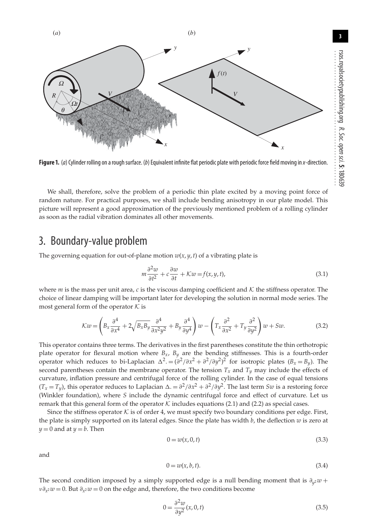<span id="page-2-0"></span>

**Figure 1.** (a) Cylinder rolling on a rough surface. (b) Equivalent infinite flat periodic plate with periodic force field moving in x-direction.

We shall, therefore, solve the problem of a periodic thin plate excited by a moving point force of random nature. For practical purposes, we shall include bending anisotropy in our plate model. This picture will represent a good approximation of the previously mentioned problem of a rolling cylinder as soon as the radial vibration dominates all other movements.

# 3. Boundary-value problem

The governing equation for out-of-plane motion  $w(x, y, t)$  of a vibrating plate is

$$
m\frac{\partial^2 w}{\partial t^2} + c\frac{\partial w}{\partial t} + Kw = f(x, y, t),\tag{3.1}
$$

where *m* is the mass per unit area, *c* is the viscous damping coefficient and  $K$  the stiffness operator. The choice of linear damping will be important later for developing the solution in normal mode series. The most general form of the operator *K* is

$$
\mathcal{K}w = \left(B_x \frac{\partial^4}{\partial x^4} + 2\sqrt{B_x B_y} \frac{\partial^4}{\partial x^2 y^2} + B_y \frac{\partial^4}{\partial y^4}\right) w - \left(T_x \frac{\partial^2}{\partial x^2} + T_y \frac{\partial^2}{\partial y^2}\right) w + Sw. \tag{3.2}
$$

This operator contains three terms. The derivatives in the first parentheses constitute the thin orthotropic plate operator for flexural motion where  $B_x$ ,  $B_y$  are the bending stiffnesses. This is a fourth-order operator which reduces to bi-Laplacian  $\Delta^2$ . =  $(\partial^2/\partial x^2 + \partial^2/\partial y^2)^2$  for isotropic plates  $(B_x = B_y)$ . The second parentheses contain the membrane operator. The tension  $T_x$  and  $T_y$  may include the effects of curvature, inflation pressure and centrifugal force of the rolling cylinder. In the case of equal tensions  $(T_x = T_y)$ , this operator reduces to Laplacian  $\Delta = \frac{\partial^2}{\partial x^2} + \frac{\partial^2}{\partial y^2}$ . The last term *Sw* is a restoring force (Winkler foundation), where *S* include the dynamic centrifugal force and effect of curvature. Let us remark that this general form of the operator  $K$  includes equations (2.1) and (2.2) as special cases.

Since the stiffness operator  $K$  is of order 4, we must specify two boundary conditions per edge. First, the plate is simply supported on its lateral edges. Since the plate has width *b*, the deflection *w* is zero at  $y = 0$  and at  $y = b$ . Then

$$
0 = w(x, 0, t) \tag{3.3}
$$

and

$$
0 = w(x, b, t). \tag{3.4}
$$

The second condition imposed by a simply supported edge is a null bending moment that is  $\partial_y^2 w$  + ν∂*x*<sup>2</sup>*w* = 0. But ∂*x*<sup>2</sup>*w* = 0 on the edge and, therefore, the two conditions become

$$
0 = \frac{\partial^2 w}{\partial y^2}(x, 0, t) \tag{3.5}
$$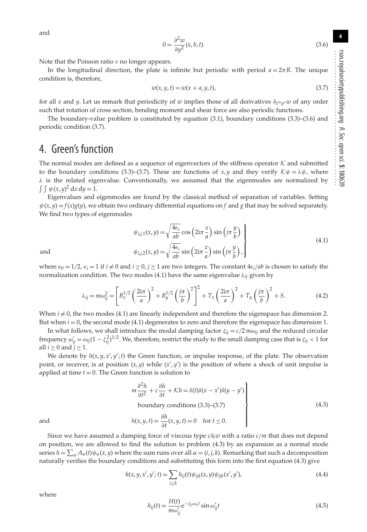and

$$
0 = \frac{\partial^2 w}{\partial y^2}(x, b, t).
$$
\n(3.6)

Note that the Poisson ratio  $\nu$  no longer appears.

In the longitudinal direction, the plate is infinite but periodic with period  $a = 2\pi R$ . The unique condition is, therefore,

$$
w(x, y, t) = w(x + a, y, t),
$$
\n
$$
(3.7)
$$

for all *x* and *y*. Let us remark that periodicity of *w* implies those of all derivatives ∂*xmynw* of any order such that rotation of cross section, bending moment and shear force are also periodic functions.

The boundary-value problem is constituted by equation (3.1), boundary conditions (3.3)–(3.6) and periodic condition (3.7).

#### 4. Green's function

The normal modes are defined as a sequence of eigenvectors of the stiffness operator  $K$  and submitted to the boundary conditions (3.3)–(3.7). These are functions of *x*, *y* and they verify  $K\psi = \lambda \psi$ , where  $\lambda$  is the related eigenvalue. Conventionally, we assumed that the eigenmodes are normalized by  $\int \int \psi(x, y)^2 dx dy = 1.$ 

Eigenvalues and eigenmodes are found by the classical method of separation of variables. Setting  $\psi(x, y) = f(x)g(y)$ , we obtain two ordinary differential equations on *f* and *g* that may be solved separately. We find two types of eigenmodes

$$
\psi_{i,j,1}(x,y) = \sqrt{\frac{4\epsilon_i}{ab}} \cos\left(2i\pi \frac{x}{a}\right) \sin\left(j\pi \frac{y}{b}\right)
$$
\n
$$
\psi_{i,j,2}(x,y) = \sqrt{\frac{4\epsilon_i}{ab}} \sin\left(2i\pi \frac{x}{a}\right) \sin\left(j\pi \frac{y}{b}\right),
$$
\n(4.1)

where  $\epsilon_0 = 1/2$ ,  $\epsilon_i = 1$  if  $i \neq 0$  and  $i \geq 0$ ,  $j \geq 1$  are two integers. The constant  $4\epsilon_i$ /*ab* is chosen to satisfy the normalization condition. The two modes  $(4.1)$  have the same eigenvalue  $\lambda_{ij}$  given by

$$
\lambda_{ij} = m\omega_{ij}^2 = \left[ B_x^{1/2} \left( \frac{2i\pi}{a} \right)^2 + B_y^{1/2} \left( \frac{j\pi}{b} \right)^2 \right]^2 + T_x \left( \frac{2i\pi}{a} \right)^2 + T_y \left( \frac{j\pi}{b} \right)^2 + S. \tag{4.2}
$$

When  $i \neq 0$ , the two modes (4.1) are linearly independent and therefore the eigenspace has dimension 2. But when  $i = 0$ , the second mode  $(4.1)$  degenerates to zero and therefore the eigenspace has dimension 1.

In what follows, we shall introduce the modal damping factor  $\zeta_{ij} = c/2 m \omega_{ij}$  and the reduced circular frequency  $\omega'_{ij} = \omega_{ij}(1 - \zeta_{ij}^2)^{1/2}$ . We, therefore, restrict the study to the small damping case that is  $\zeta_{ij} < 1$  for all  $i \geq 0$  and  $j \geq 1$ .

We denote by  $h(x, y, x', y'; t)$  the Green function, or impulse response, of the plate. The observation point, or receiver, is at position  $(x, y)$  while  $(x', y')$  is the position of where a shock of unit impulse is applied at time  $t = 0$ . The Green function is solution to

$$
m\frac{\partial^2 h}{\partial t^2} + c\frac{\partial h}{\partial t} + Kh = \delta(t)\delta(x - x')\delta(y - y')
$$
  
boundary conditions (3.3)–(3.7)  

$$
h(x, y, t) = \frac{\partial h}{\partial t}(x, y, t) = 0 \quad \text{for } t \le 0.
$$
 (4.3)

Since we have assumed a damping force of viscous type *c*∂*tw* with a ratio *c*/*m* that does not depend on position, we are allowed to find the solution to problem (4.3) by an expansion as a normal mode series  $h = \sum_{\alpha} A_{\alpha}(t)\psi_{\alpha}(x, y)$  where the sum runs over all  $\alpha = (i, j, k)$ . Remarking that such a decomposition naturally verifies the boundary conditions and substituting this form into the first equation (4.3) give

$$
h(x, y, x', y'; t) = \sum_{i,j,k} h_{ij}(t) \psi_{ijk}(x, y) \psi_{ijk}(x', y'),
$$
\n(4.4)

where

$$
h_{ij}(t) = \frac{H(t)}{m\omega'_{ij}} e^{-\zeta_{ij}\omega_{ij}t} \sin \omega'_{ij}t
$$
\n(4.5)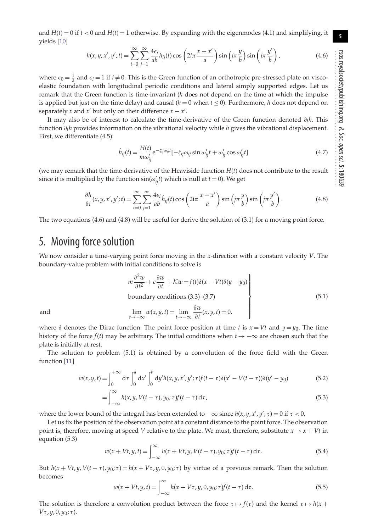**5**

and  $H(t) = 0$  if  $t < 0$  and  $H(t) = 1$  otherwise. By expanding with the eigenmodes (4.1) and simplifying, it yields [\[10\]](#page-11-9)

$$
h(x, y, x', y'; t) = \sum_{i=0}^{\infty} \sum_{j=1}^{\infty} \frac{4\epsilon_i}{ab} h_{ij}(t) \cos\left(2i\pi \frac{x - x'}{a}\right) \sin\left(j\pi \frac{y}{b}\right) \sin\left(j\pi \frac{y'}{b}\right),\tag{4.6}
$$

where  $\epsilon_0 = \frac{1}{2}$  and  $\epsilon_i = 1$  if  $i \neq 0$ . This is the Green function of an orthotropic pre-stressed plate on viscoelastic foundation with longitudinal periodic conditions and lateral simply supported edges. Let us remark that the Green function is time-invariant (*h* does not depend on the time at which the impulse is applied but just on the time delay) and causal  $(h = 0$  when  $t \le 0$ ). Furthermore, *h* does not depend on separately *x* and  $x'$  but only on their difference  $x - x'$ .

It may also be of interest to calculate the time-derivative of the Green function denoted ∂*th*. This function ∂*th* provides information on the vibrational velocity while *h* gives the vibrational displacement. First, we differentiate (4.5):

$$
\dot{h}_{ij}(t) = \frac{H(t)}{m\omega'_{ij}} e^{-\zeta_{ij}\omega_{ij}t} [-\zeta_{ij}\omega_{ij}\sin\omega'_{ij}t + \omega'_{ij}\cos\omega'_{ij}t]
$$
\n(4.7)

(we may remark that the time-derivative of the Heaviside function *H*(*t*) does not contribute to the result since it is multiplied by the function  $\sin(\omega_{ij}^{\prime}t)$  which is null at  $t=0$ ). We get

$$
\frac{\partial h}{\partial t}(x, y, x', y'; t) = \sum_{i=0}^{\infty} \sum_{j=1}^{\infty} \frac{4\epsilon_i}{ab} h_{ij}(t) \cos\left(2i\pi \frac{x - x'}{a}\right) \sin\left(j\pi \frac{y}{b}\right) \sin\left(j\pi \frac{y'}{b}\right).
$$
(4.8)

The two equations (4.6) and (4.8) will be useful for derive the solution of (3.1) for a moving point force.

#### 5. Moving force solution

We now consider a time-varying point force moving in the *x*-direction with a constant velocity *V*. The boundary-value problem with initial conditions to solve is

$$
m\frac{\partial^2 w}{\partial t^2} + c\frac{\partial w}{\partial t} + Kw = f(t)\delta(x - Vt)\delta(y - y_0)
$$
  
boundary conditions (3.3)–(3.7)  

$$
\lim_{t \to -\infty} w(x, y, t) = \lim_{t \to -\infty} \frac{\partial w}{\partial t}(x, y, t) = 0,
$$
 (5.1)

where  $\delta$  denotes the Dirac function. The point force position at time *t* is  $x = Vt$  and  $y = y_0$ . The time history of the force  $f(t)$  may be arbitrary. The initial conditions when  $t \to -\infty$  are chosen such that the plate is initially at rest.

The solution to problem (5.1) is obtained by a convolution of the force field with the Green function [\[11\]](#page-11-10)

$$
w(x,y,t) = \int_0^{+\infty} d\tau \int_0^a dx' \int_0^b dy'h(x,y,x',y';\tau) f(t-\tau) \delta(x'-V(t-\tau)) \delta(y'-y_0)
$$
(5.2)

$$
= \int_{-\infty}^{\infty} h(x, y, V(t-\tau), y_0; \tau) f(t-\tau) d\tau,
$$
\n(5.3)

where the lower bound of the integral has been extended to  $-\infty$  since  $h(x, y, x', y'; \tau) = 0$  if  $\tau < 0$ .

Let us fix the position of the observation point at a constant distance to the point force. The observation point is, therefore, moving at speed *V* relative to the plate. We must, therefore, substitute  $x \rightarrow x + Vt$  in equation (5.3)

$$
w(x + Vt, y, t) = \int_{-\infty}^{\infty} h(x + Vt, y, V(t - \tau), y_0; \tau) f(t - \tau) d\tau.
$$
 (5.4)

But  $h(x + Vt, y, V(t - \tau), y_0; \tau) = h(x + V\tau, y, 0, y_0; \tau)$  by virtue of a previous remark. Then the solution becomes

$$
w(x + Vt, y, t) = \int_{-\infty}^{\infty} h(x + V\tau, y, 0, y_0; \tau) f(t - \tau) d\tau.
$$
 (5.5)

The solution is therefore a convolution product between the force  $\tau \mapsto f(\tau)$  and the kernel  $\tau \mapsto h(x + \tau)$ *V*τ , *y*, 0, *y*0; τ ).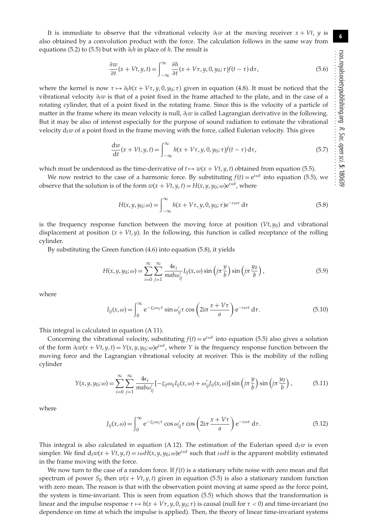It is immediate to observe that the vibrational velocity  $\partial_t w$  at the moving receiver  $x + Vt$ , *y* is also obtained by a convolution product with the force. The calculation follows in the same way from equations (5.2) to (5.5) but with ∂*th* in place of *h*. The result is

$$
\frac{\partial w}{\partial t}(x+Vt,y,t) = \int_{-\infty}^{\infty} \frac{\partial h}{\partial t}(x+V\tau,y,0,y_0;\tau) f(t-\tau) d\tau, \tag{5.6}
$$

where the kernel is now  $\tau \mapsto \partial_t h(x + V\tau, y, 0, y_0; \tau)$  given in equation (4.8). It must be noticed that the vibrational velocity ∂*tw* is that of a point fixed in the frame attached to the plate, and in the case of a rotating cylinder, that of a point fixed in the rotating frame. Since this is the velocity of a particle of matter in the frame where its mean velocity is null, ∂*tw* is called Lagrangian derivative in the following. But it may be also of interest especially for the purpose of sound radiation to estimate the vibrational velocity d*tw* of a point fixed in the frame moving with the force, called Eulerian velocity. This gives

$$
\frac{dw}{dt}(x+Vt,y,t) = \int_{-\infty}^{\infty} h(x+V\tau,y,0,y_0;\tau)\dot{f}(t-\tau) d\tau,
$$
\n(5.7)

which must be understood as the time-derivative of  $t \mapsto w(x + Vt, y, t)$  obtained from equation (5.5).

We now restrict to the case of a harmonic force. By substituting  $f(t) = e^{i\omega t}$  into equation (5.5), we observe that the solution is of the form  $w(x + Vt, y, t) = H(x, y, y_0; \omega)e^{i\omega t}$ , where

$$
H(x, y, y_0; \omega) = \int_{-\infty}^{\infty} h(x + V\tau, y, 0, y_0; \tau) e^{-i\omega\tau} d\tau
$$
\n(5.8)

is the frequency response function between the moving force at position  $(Vt, y_0)$  and vibrational displacement at position  $(x + Vt, y)$ . In the following, this function is called receptance of the rolling cylinder.

By substituting the Green function (4.6) into equation (5.8), it yields

$$
H(x, y, y_0; \omega) = \sum_{i=0}^{\infty} \sum_{j=1}^{\infty} \frac{4\epsilon_i}{mab\omega'_{ij}} I_{ij}(x, \omega) \sin\left(j\pi \frac{y}{b}\right) \sin\left(j\pi \frac{y_0}{b}\right),\tag{5.9}
$$

where

$$
I_{ij}(x,\omega) = \int_0^\infty e^{-\zeta_{ij}\omega_{ij}\tau} \sin \omega'_{ij}\tau \cos \left(2i\pi \frac{x+V\tau}{a}\right) e^{-i\omega\tau} d\tau.
$$
 (5.10)

This integral is calculated in equation (A 11).

Concerning the vibrational velocity, substituting  $f(t) = e^{i\omega t}$  into equation (5.5) also gives a solution of the form  $\partial_t w(x + Vt, y, t) = Y(x, y, y_0; \omega) e^{i\omega t}$ , where *Y* is the frequency response function between the moving force and the Lagrangian vibrational velocity at receiver. This is the mobility of the rolling cylinder

$$
Y(x, y, y_0; \omega) = \sum_{i=0}^{\infty} \sum_{j=1}^{\infty} \frac{4\epsilon_i}{mab\omega'_{ij}} [-\zeta_{ij}\omega_{ij}I_{ij}(x, \omega) + \omega'_{ij}J_{ij}(x, \omega)] \sin\left(j\pi \frac{y}{b}\right) \sin\left(j\pi \frac{y_0}{b}\right),\tag{5.11}
$$

where

$$
J_{ij}(x,\omega) = \int_0^\infty e^{-\zeta_{ij}\omega_{ij}\tau} \cos\omega'_{ij}\tau \cos\left(2i\pi \frac{x+V\tau}{a}\right) e^{-i\omega\tau} d\tau.
$$
 (5.12)

This integral is also calculated in equation (A 12). The estimation of the Eulerian speed  $d_t w$  is even simpler. We find  $d_t w(x + Vt, y, t) = i \omega H(x, y, y_0; \omega) e^{i \omega t}$  such that  $i \omega H$  is the apparent mobility estimated in the frame moving with the force.

We now turn to the case of a random force. If  $f(t)$  is a stationary white noise with zero mean and flat spectrum of power  $S_0$  then  $w(x + Vt, y, t)$  given in equation (5.5) is also a stationary random function with zero mean. The reason is that with the observation point moving at same speed as the force point, the system is time-invariant. This is seen from equation (5.5) which shows that the transformation is linear and the impulse response  $\tau \mapsto h(x + V\tau, y, 0, y_0; \tau)$  is causal (null for  $\tau < 0$ ) and time-invariant (no dependence on time at which the impulse is applied). Then, the theory of linear time-invariant systems

**6**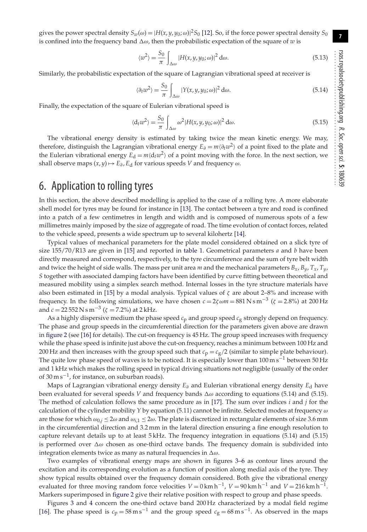**7**

gives the power spectral density  $S_w(\omega) = |H(x, y, y_0; \omega)|^2 S_0$  [\[12\]](#page-11-11). So, if the force power spectral density  $S_0$ is confined into the frequency band  $\Delta\omega$ , then the probabilistic expectation of the square of  $w$  is

$$
\langle w^2 \rangle = \frac{S_0}{\pi} \int_{\Delta\omega} |H(x, y, y_0; \omega)|^2 \, \mathrm{d}\omega. \tag{5.13}
$$

Similarly, the probabilistic expectation of the square of Lagrangian vibrational speed at receiver is

$$
\langle \partial_t w^2 \rangle = \frac{S_0}{\pi} \int_{\Delta \omega} |Y(x, y, y_0; \omega)|^2 \, \mathrm{d}\omega. \tag{5.14}
$$

Finally, the expectation of the square of Eulerian vibrational speed is

$$
\langle \mathrm{d}_t w^2 \rangle = \frac{S_0}{\pi} \int_{\Delta \omega} \omega^2 |H(x, y, y_0; \omega)|^2 \, \mathrm{d}\omega. \tag{5.15}
$$

The vibrational energy density is estimated by taking twice the mean kinetic energy. We may, therefore, distinguish the Lagrangian vibrational energy  $E_{\partial} = m \langle \partial_t w^2 \rangle$  of a point fixed to the plate and the Eulerian vibrational energy  $E_d = m \langle d_t w^2 \rangle$  of a point moving with the force. In the next section, we shall observe maps  $(x, y) \mapsto E_{\partial}$ ,  $E_{d}$  for various speeds *V* and frequency  $\omega$ .

### 6. Application to rolling tyres

In this section, the above described modelling is applied to the case of a rolling tyre. A more elaborate shell model for tyres may be found for instance in [\[13\]](#page-11-12). The contact between a tyre and road is confined into a patch of a few centimetres in length and width and is composed of numerous spots of a few millimetres mainly imposed by the size of aggregate of road. The time evolution of contact forces, related to the vehicle speed, presents a wide spectrum up to several kilohertz [\[14\]](#page-11-13).

Typical values of mechanical parameters for the plate model considered obtained on a slick tyre of size 155/70/R13 are given in [\[15\]](#page-11-14) and reported in [table 1.](#page-7-0) Geometrical parameters *a* and *b* have been directly measured and correspond, respectively, to the tyre circumference and the sum of tyre belt width and twice the height of side walls. The mass per unit area *m* and the mechanical parameters  $B_x$ ,  $B_y$ ,  $T_x$ ,  $T_y$ , *S* together with associated damping factors have been identified by curve fitting between theoretical and measured mobility using a simplex search method. Internal losses in the tyre structure materials have also been estimated in [\[15\]](#page-11-14) by a modal analysis. Typical values of  $\zeta$  are about 2–8% and increase with frequency. In the following simulations, we have chosen  $c = 2\zeta \omega m = 881 \text{ N s m}^{-3}$  ( $\zeta = 2.8\%$ ) at 200 Hz and  $c = 22552 \text{ N s m}^{-3}$  ( $\zeta = 7.2\%$ ) at 2 kHz.

As a highly dispersive medium the phase speed  $c_p$  and group speed  $c_g$  strongly depend on frequency. The phase and group speeds in the circumferential direction for the parameters given above are drawn in [figure 2](#page-7-1) (see [\[16\]](#page-11-15) for details). The cut-on frequency is 45 Hz. The group speed increases with frequency while the phase speed is infinite just above the cut-on frequency, reaches a minimum between 100 Hz and 200 Hz and then increases with the group speed such that  $c_p = c_g/2$  (similar to simple plate behaviour). The quite low phase speed of waves is to be noticed. It is especially lower than  $100 \text{ m s}^{-1}$  between 50 Hz and 1 kHz which makes the rolling speed in typical driving situations not negligible (usually of the order of  $30 \text{ m s}^{-1}$ , for instance, on suburban roads).

Maps of Lagrangian vibrational energy density *E*<sup>∂</sup> and Eulerian vibrational energy density *E*<sup>d</sup> have been evaluated for several speeds *V* and frequency bands  $\Delta \omega$  according to equations (5.14) and (5.15). The method of calculation follows the same procedure as in [\[17\]](#page-11-16). The sum over indices *i* and *j* for the calculation of the cylinder mobility *Y* by equation (5.11) cannot be infinite. Selected modes at frequency ω are those for which  $\omega_{0,i} \leq 2\omega$  and  $\omega_{i,1} \leq 2\omega$ . The plate is discretized in rectangular elements of size 3.6 mm in the circumferential direction and 3.2 mm in the lateral direction ensuring a fine enough resolution to capture relevant details up to at least 5 kHz. The frequency integration in equations (5.14) and (5.15) is performed over  $\Delta\omega$  chosen as one-third octave bands. The frequency domain is subdivided into integration elements twice as many as natural frequencies in  $\Delta\omega$ .

Two examples of vibrational energy maps are shown in figures [3–](#page-7-2)[6](#page-9-0) as contour lines around the excitation and its corresponding evolution as a function of position along medial axis of the tyre. They show typical results obtained over the frequency domain considered. Both give the vibrational energy evaluated for three moving random force velocities  $V = 0 \text{ km h}^{-1}$ ,  $V = 90 \text{ km h}^{-1}$  and  $V = 216 \text{ km h}^{-1}$ . Markers superimposed in [figure 2](#page-7-1) give their relative position with respect to group and phase speeds.

Figures [3](#page-7-2) and [4](#page-8-0) concern the one-third octave band 200 Hz characterized by a modal field regime [\[16\]](#page-11-15). The phase speed is  $c_p = 58 \text{ m s}^{-1}$  and the group speed  $c_g = 68 \text{ m s}^{-1}$ . As observed in the maps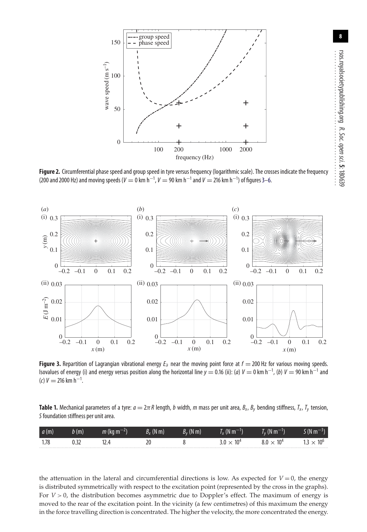<span id="page-7-1"></span>

**Figure 2.** Circumferential phase speed and group speed in tyre versus frequency (logarithmic scale). The crosses indicate the frequency (200 and 2000 Hz) and moving speeds ( $V = 0$  km h<sup>-1</sup>,  $V = 90$  km h<sup>-1</sup> and  $V = 216$  km h<sup>-1</sup>) of figures [3](#page-7-2)[–6.](#page-9-0)

<span id="page-7-2"></span>

**Figure 3.** Repartition of Lagrangian vibrational energy  $E_{\partial}$  near the moving point force at  $f = 200$  Hz for various moving speeds. Isovalues of energy (i) and energy versus position along the horizontal line  $y = 0.16$  (ii): (a)  $V = 0$  km h<sup>-1</sup>, (b)  $V = 90$  km h<sup>-1</sup> and (c)  $V = 216$  km h<sup>-1</sup>. .

<span id="page-7-0"></span>**Table 1.** Mechanical parameters of a tyre:  $a = 2\pi R$  length, b width, m mass per unit area,  $B_x$ ,  $B_y$  bending stiffness,  $T_x$ ,  $T_y$  tension, S foundation stiffness per unit area.

| a(m) | b(m) | $m$ (kg m <sup>-2</sup> ) | $B_x$ (N m) | $B_v$ (N m) | $T_x$ (N m <sup>-1</sup> ) | $T_v$ (N m <sup>-1</sup> ) | $S(N \text{ m}^{-3})$ |
|------|------|---------------------------|-------------|-------------|----------------------------|----------------------------|-----------------------|
| 1.78 | 0.32 | 12.4                      |             |             | $3.0 \times 10^{4}$        | $8.0 \times 10^4$          | $1.3 \times 10^{6}$   |

the attenuation in the lateral and circumferential directions is low. As expected for  $V = 0$ , the energy is distributed symmetrically with respect to the excitation point (represented by the cross in the graphs). For  $V > 0$ , the distribution becomes asymmetric due to Doppler's effect. The maximum of energy is moved to the rear of the excitation point. In the vicinity (a few centimetres) of this maximum the energy in the force travelling direction is concentrated. The higher the velocity, the more concentrated the energy.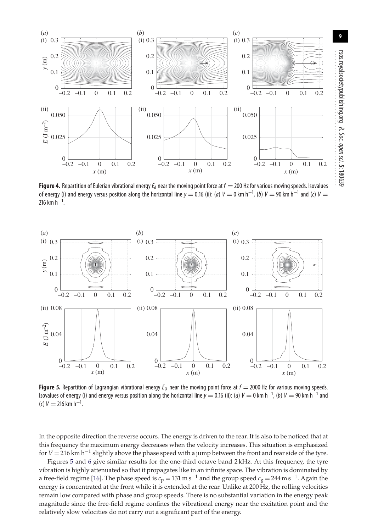<span id="page-8-0"></span>

**Figure 4.** Repartition of Eulerian vibrational energy  $E_d$  near the moving point force at  $f = 200$  Hz for various moving speeds. Isovalues of energy (i) and energy versus position along the horizontal line  $y = 0.16$  (ii): (a)  $V = 0$  km h $^{-1}$ , (b)  $V = 90$  km h $^{-1}$  and (c)  $V = 0$ 216 km  $h^{-1}$ . .

<span id="page-8-1"></span>

**Figure 5.** Repartition of Lagrangian vibrational energy  $E_{\theta}$  near the moving point force at  $f = 2000$  Hz for various moving speeds. Isovalues of energy (i) and energy versus position along the horizontal line  $y = 0.16$  (ii): (a)  $V = 0$  km h $^{-1}$ , (b)  $V = 90$  km h $^{-1}$  and (c)  $V = 216$  km h<sup>-1</sup>. .

In the opposite direction the reverse occurs. The energy is driven to the rear. It is also to be noticed that at this frequency the maximum energy decreases when the velocity increases. This situation is emphasized for *<sup>V</sup>* <sup>=</sup> 216 km h−<sup>1</sup> slightly above the phase speed with a jump between the front and rear side of the tyre.

Figures [5](#page-8-1) and [6](#page-9-0) give similar results for the one-third octave band 2 kHz. At this frequency, the tyre vibration is highly attenuated so that it propagates like in an infinite space. The vibration is dominated by a free-field regime [\[16\]](#page-11-15). The phase speed is *<sup>c</sup>*<sup>p</sup> <sup>=</sup> 131 m s−<sup>1</sup> and the group speed *<sup>c</sup>*<sup>g</sup> <sup>=</sup> 244 m s−1. Again the energy is concentrated at the front while it is extended at the rear. Unlike at 200 Hz, the rolling velocities remain low compared with phase and group speeds. There is no substantial variation in the energy peak magnitude since the free-field regime confines the vibrational energy near the excitation point and the relatively slow velocities do not carry out a significant part of the energy.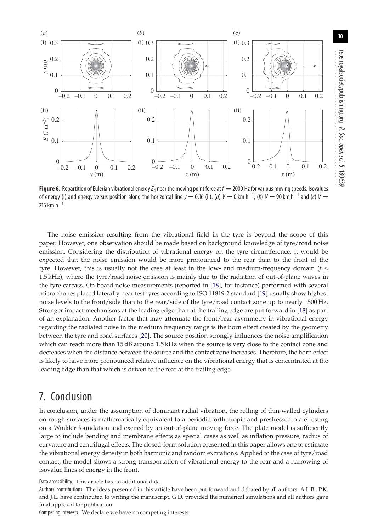R. Soc.

sci.**5**: 180639

**10**

<span id="page-9-0"></span>

**Figure 6.** Repartition of Eulerian vibrational energy  $E_d$  near the moving point force at  $f = 2000$  Hz for various moving speeds. Isovalues of energy (i) and energy versus position along the horizontal line  $y = 0.16$  (ii). (a)  $V = 0$  km h<sup>-1</sup>, (b)  $V = 90$  km h<sup>-1</sup> and (c)  $V =$ 216 km  $h^{-1}$ . .

The noise emission resulting from the vibrational field in the tyre is beyond the scope of this paper. However, one observation should be made based on background knowledge of tyre/road noise emission. Considering the distribution of vibrational energy on the tyre circumference, it would be expected that the noise emission would be more pronounced to the rear than to the front of the tyre. However, this is usually not the case at least in the low- and medium-frequency domain  $(f \leq$ 1.5 kHz), where the tyre/road noise emission is mainly due to the radiation of out-of-plane waves in the tyre carcass. On-board noise measurements (reported in [\[18\]](#page-11-17), for instance) performed with several microphones placed laterally near test tyres according to ISO 11819-2 standard [\[19\]](#page-11-18) usually show highest noise levels to the front/side than to the rear/side of the tyre/road contact zone up to nearly 1500 Hz. Stronger impact mechanisms at the leading edge than at the trailing edge are put forward in [\[18\]](#page-11-17) as part of an explanation. Another factor that may attenuate the front/rear asymmetry in vibrational energy regarding the radiated noise in the medium frequency range is the horn effect created by the geometry between the tyre and road surfaces [\[20\]](#page-11-19). The source position strongly influences the noise amplification which can reach more than 15 dB around 1.5 kHz when the source is very close to the contact zone and decreases when the distance between the source and the contact zone increases. Therefore, the horn effect is likely to have more pronounced relative influence on the vibrational energy that is concentrated at the leading edge than that which is driven to the rear at the trailing edge.

## 7. Conclusion

In conclusion, under the assumption of dominant radial vibration, the rolling of thin-walled cylinders on rough surfaces is mathematically equivalent to a periodic, orthotropic and prestressed plate resting on a Winkler foundation and excited by an out-of-plane moving force. The plate model is sufficiently large to include bending and membrane effects as special cases as well as inflation pressure, radius of curvature and centrifugal effects. The closed-form solution presented in this paper allows one to estimate the vibrational energy density in both harmonic and random excitations. Applied to the case of tyre/road contact, the model shows a strong transportation of vibrational energy to the rear and a narrowing of isovalue lines of energy in the front.

Data accessibility. This article has no additional data.

Authors' contributions. The ideas presented in this article have been put forward and debated by all authors. A.L.B., P.K. and J.L. have contributed to writing the manuscript, G.D. provided the numerical simulations and all authors gave final approval for publication.

Competing interests. We declare we have no competing interests.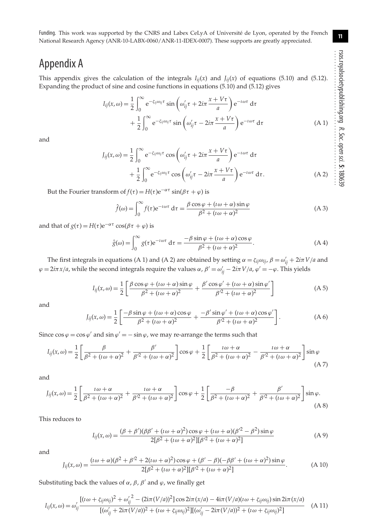Funding. This work was supported by the CNRS and Labex CeLyA of Université de Lyon, operated by the French National Research Agency (ANR-10-LABX-0060/ANR-11-IDEX-0007). These supports are greatly appreciated.

## Appendix A

This appendix gives the calculation of the integrals  $I_{ij}(x)$  and  $J_{ij}(x)$  of equations (5.10) and (5.12). Expanding the product of sine and cosine functions in equations (5.10) and (5.12) gives

$$
I_{ij}(x,\omega) = \frac{1}{2} \int_0^{\infty} e^{-\zeta_{ij}\omega_{ij}\tau} \sin\left(\omega'_{ij}\tau + 2i\pi \frac{x + V\tau}{a}\right) e^{-i\omega\tau} d\tau
$$

$$
+ \frac{1}{2} \int_0^{\infty} e^{-\zeta_{ij}\omega_{ij}\tau} \sin\left(\omega'_{ij}\tau - 2i\pi \frac{x + V\tau}{a}\right) e^{-i\omega\tau} d\tau
$$
(A1)

and

$$
J_{ij}(x,\omega) = \frac{1}{2} \int_0^{\infty} e^{-\zeta_{ij}\omega_{ij}\tau} \cos\left(\omega'_{ij}\tau + 2i\pi \frac{x + V\tau}{a}\right) e^{-i\omega\tau} d\tau
$$

$$
+ \frac{1}{2} \int_0^{\infty} e^{-\zeta_{ij}\omega_{ij}\tau} \cos\left(\omega'_{ij}\tau - 2i\pi \frac{x + V\tau}{a}\right) e^{-i\omega\tau} d\tau.
$$
(A2)

But the Fourier transform of *f*( $\tau$ ) = *H*( $\tau$ )e<sup> $-\alpha\tau$ </sup> sin( $\beta\tau + \varphi$ ) is

$$
\hat{f}(\omega) = \int_0^\infty f(\tau) e^{-i\omega \tau} d\tau = \frac{\beta \cos \varphi + (i\omega + \alpha) \sin \varphi}{\beta^2 + (i\omega + \alpha)^2}
$$
(A 3)

and that of  $g(\tau) = H(\tau) e^{-\alpha \tau} \cos(\beta \tau + \varphi)$  is

$$
\hat{g}(\omega) = \int_0^\infty g(\tau) e^{-i\omega\tau} d\tau = \frac{-\beta \sin \varphi + (i\omega + \alpha) \cos \varphi}{\beta^2 + (i\omega + \alpha)^2}.
$$
 (A 4)

The first integrals in equations (A 1) and (A 2) are obtained by setting  $\alpha = \zeta_{ij}\omega_{ij}$ ,  $\beta = \omega'_{ij} + 2i\pi V/a$  and  $φ = 2$ *iπx*/*a*, while the second integrals require the values α,  $β' = ω'_{ij} - 2iπV/a$ ,  $φ' = -φ$ . This yields

$$
I_{ij}(x,\omega) = \frac{1}{2} \left[ \frac{\beta \cos \varphi + (i\omega + \alpha)\sin \varphi}{\beta^2 + (i\omega + \alpha)^2} + \frac{\beta' \cos \varphi' + (i\omega + \alpha)\sin \varphi'}{\beta^2 + (i\omega + \alpha)^2} \right]
$$
(A 5)

and

$$
J_{ij}(x,\omega) = \frac{1}{2} \left[ \frac{-\beta \sin \varphi + (i\omega + \alpha) \cos \varphi}{\beta^2 + (i\omega + \alpha)^2} + \frac{-\beta' \sin \varphi' + (i\omega + \alpha) \cos \varphi'}{\beta^2 + (i\omega + \alpha)^2} \right].
$$
 (A 6)

Since cos  $\varphi = \cos \varphi'$  and  $\sin \varphi' = -\sin \varphi$ , we may re-arrange the terms such that

$$
I_{ij}(x,\omega) = \frac{1}{2} \left[ \frac{\beta}{\beta^2 + (i\omega + \alpha)^2} + \frac{\beta'}{\beta'^2 + (i\omega + \alpha)^2} \right] \cos\varphi + \frac{1}{2} \left[ \frac{i\omega + \alpha}{\beta^2 + (i\omega + \alpha)^2} - \frac{i\omega + \alpha}{\beta'^2 + (i\omega + \alpha)^2} \right] \sin\varphi
$$
(A 7)

and

$$
J_{ij}(x,\omega) = \frac{1}{2} \left[ \frac{i\omega + \alpha}{\beta^2 + (i\omega + \alpha)^2} + \frac{i\omega + \alpha}{\beta'^2 + (i\omega + \alpha)^2} \right] \cos\varphi + \frac{1}{2} \left[ \frac{-\beta}{\beta^2 + (i\omega + \alpha)^2} + \frac{\beta'}{\beta'^2 + (i\omega + \alpha)^2} \right] \sin\varphi.
$$
\n(A 8)

This reduces to

$$
I_{ij}(x,\omega) = \frac{(\beta + \beta')(\beta\beta' + (\iota\omega + \alpha)^2)\cos\varphi + (\iota\omega + \alpha)(\beta'^2 - \beta^2)\sin\varphi}{2[\beta^2 + (\iota\omega + \alpha)^2][\beta'^2 + (\iota\omega + \alpha)^2]}
$$
(A 9)

and

$$
J_{ij}(x,\omega) = \frac{(i\omega + \alpha)(\beta^2 + \beta'^2 + 2(i\omega + \alpha)^2)\cos\varphi + (\beta' - \beta)(-\beta\beta' + (i\omega + \alpha)^2)\sin\varphi}{2[\beta^2 + (i\omega + \alpha)^2][\beta'^2 + (i\omega + \alpha)^2]}.
$$
 (A 10)

Substituting back the values of  $\alpha$ ,  $\beta$ ,  $\beta'$  and  $\varphi$ , we finally get

$$
I_{ij}(x,\omega) = \omega'_{ij} \frac{[(i\omega + \zeta_{ij}\omega_{ij})^2 + {\omega'_{ij}}^2 - (2i\pi (V/a))^2] \cos 2i\pi (x/a) - 4i\pi (V/a)(i\omega + \zeta_{ij}\omega_{ij}) \sin 2i\pi (x/a)}{[(\omega'_{ij} + 2i\pi (V/a))^2 + (i\omega + \zeta_{ij}\omega_{ij})^2][( \omega'_{ij} - 2i\pi (V/a))^2 + (i\omega + \zeta_{ij}\omega_{ij})^2]}
$$
(A 11)